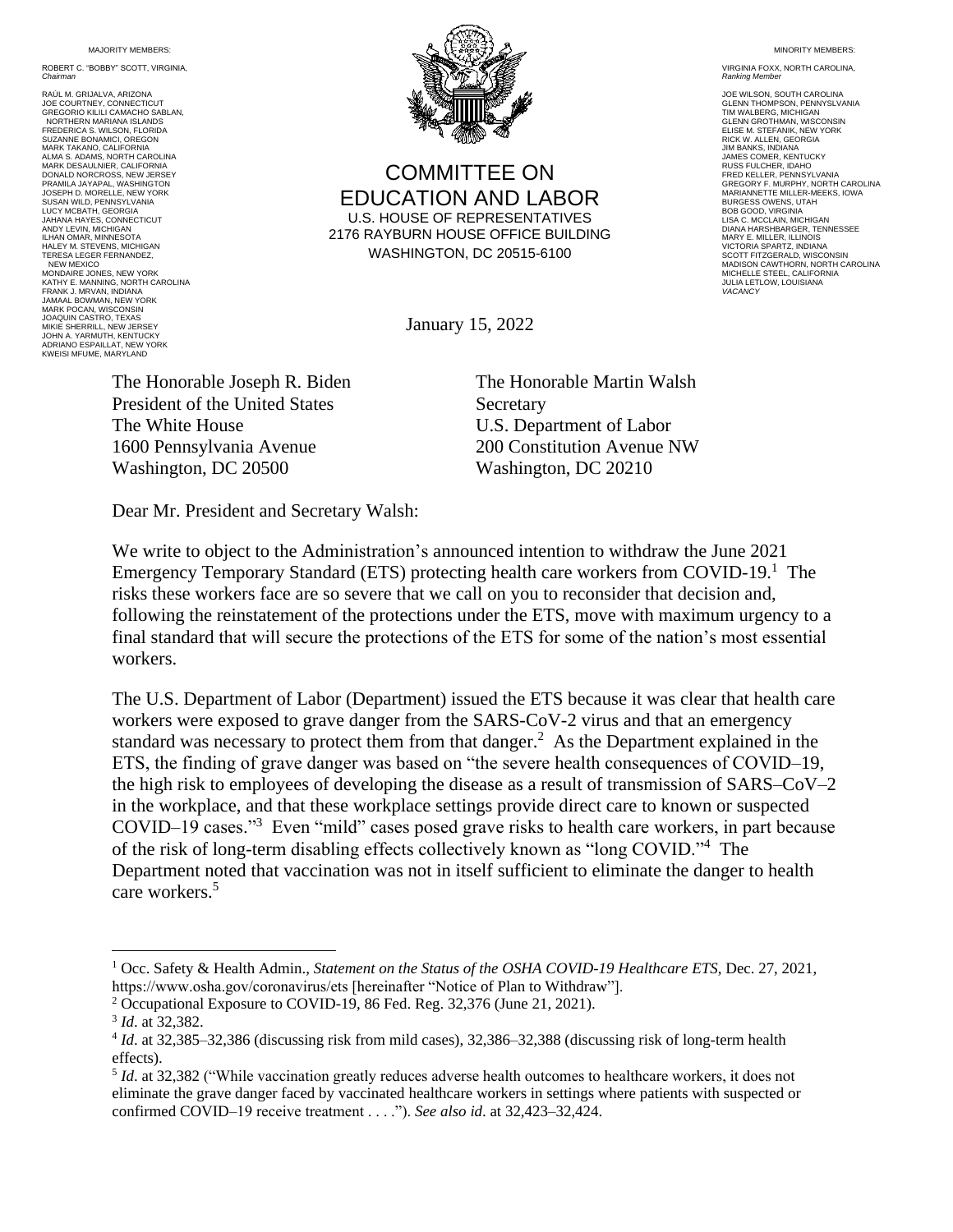MAJORITY MEMBERS:

ROBERT C. "BOBBY" SCOTT, VIRGINIA, *Chairman*

RAÚL M. GRIJALVA, ARIZONA JOE COURTNEY, CONNECTICUT GREGORIO KILILI CAMACHO SABLAN, NORTHERN MARIANA ISLANDS<br>EREDERICA S. WILSON, ELORIDA FREDERICA S. WILSON, FLORIDA<br>SUZANNE BONAMICI, OREGON<br>MARK TAKANO, CALIFORNIA<br>ALMA S. ADAMS, NORTH CAROLINA MARK DESAULNIER, CALIFORNIA DONALD NORCROSS, NEW JERSEY<br>PRAMILA JAYAPAL, WASHINGTON PRAMILA JAYAPAL, WASHINGTON JOSEPH D. MORELLE, NEW YORK SUSAN WILD, PENNSYLVANIA LUCY MCBATH, GEORGIA JAHANA HAYES, CONNECTICUT ANDY LEVIN, MICHIGAN ILHAN OMAR, MINNESOTA HALEY M. STEVENS, MICHIGAN TERESA LEGER FERNANDEZ, NEW MEXICO MONDAIRE JONES, NEW YORK KATHY E. MANNING, NORTH CAROLINA FRANK J. MRVAN, INDIANA JAMAAL BOWMAN, NEW YORK MARK POCAN, WISCONSIN JOAQUIN CASTRO, TEXAS MIKIE SHERRILL, NEW JERSEY JOHN A. YARMUTH, KENTUCKY ADRIANO ESPAILLAT, NEW YORK KWEISI MFUME, MARYLAND



COMMITTEE ON EDUCATION AND LABOR U.S. HOUSE OF REPRESENTATIVES 2176 RAYBURN HOUSE OFFICE BUILDING WASHINGTON, DC 20515-6100

January 15, 2022

The Honorable Joseph R. Biden President of the United States The White House 1600 Pennsylvania Avenue Washington, DC 20500

The Honorable Martin Walsh **Secretary** U.S. Department of Labor 200 Constitution Avenue NW Washington, DC 20210

Dear Mr. President and Secretary Walsh:

We write to object to the Administration's announced intention to withdraw the June 2021 Emergency Temporary Standard (ETS) protecting health care workers from COVID-19.<sup>1</sup> The risks these workers face are so severe that we call on you to reconsider that decision and, following the reinstatement of the protections under the ETS, move with maximum urgency to a final standard that will secure the protections of the ETS for some of the nation's most essential workers.

The U.S. Department of Labor (Department) issued the ETS because it was clear that health care workers were exposed to grave danger from the SARS-CoV-2 virus and that an emergency standard was necessary to protect them from that danger.<sup>2</sup> As the Department explained in the ETS, the finding of grave danger was based on "the severe health consequences of COVID–19, the high risk to employees of developing the disease as a result of transmission of SARS–CoV–2 in the workplace, and that these workplace settings provide direct care to known or suspected COVID–19 cases."<sup>3</sup> Even "mild" cases posed grave risks to health care workers, in part because of the risk of long-term disabling effects collectively known as "long COVID."<sup>4</sup> The Department noted that vaccination was not in itself sufficient to eliminate the danger to health care workers.<sup>5</sup>

MINORITY MEMBERS:

VIRGINIA FOXX, NORTH CAROLINA, **Ranking Memb** 

JOE WILSON, SOUTH CAROLINA GLENN THOMPSON, PENNYSLVANIA TIM WALBERG, MICHIGAN GLENN GROTHMAN, WISCONSIN ELISE M. STEFANIK, NEW YORK RICK W. ALLEN, GEORGIA JIM BANKS, INDIANA JAMES COMER, KENTUCKY RUSS FULCHER, IDAHO FRED KELLER, PENNSYLVANIA GREGORY F. MURPHY, NORTH CAROLINA MARIANNETTE MILLER-MEEKS, IOWA BURGESS OWENS, UTAH BOB GOOD, VIRGINIA LISA C. MCCLAIN, MICHIGAN DIANA HARSHBARGER, TENNESSEE MARY E. MILLER, ILLINOIS VICTORIA SPARTZ, INDIANA SCOTT FITZGERALD, WISCONSIN MADISON CAWTHORN, NORTH CAROLINA MICHELLE STEEL, CALIFORNIA JULIA LETLOW, LOUISIANA *VACANCY*

<sup>1</sup> Occ. Safety & Health Admin., *Statement on the Status of the OSHA COVID-19 Healthcare ETS*, Dec. 27, 2021, https://www.osha.gov/coronavirus/ets [hereinafter "Notice of Plan to Withdraw"].

<sup>2</sup> Occupational Exposure to COVID-19, 86 Fed. Reg. 32,376 (June 21, 2021).

<sup>3</sup> *Id*. at 32,382.

<sup>4</sup> *Id*. at 32,385–32,386 (discussing risk from mild cases), 32,386–32,388 (discussing risk of long-term health effects).

<sup>&</sup>lt;sup>5</sup> *Id*. at 32,382 ("While vaccination greatly reduces adverse health outcomes to healthcare workers, it does not eliminate the grave danger faced by vaccinated healthcare workers in settings where patients with suspected or confirmed COVID–19 receive treatment . . . ."). *See also id*. at 32,423–32,424.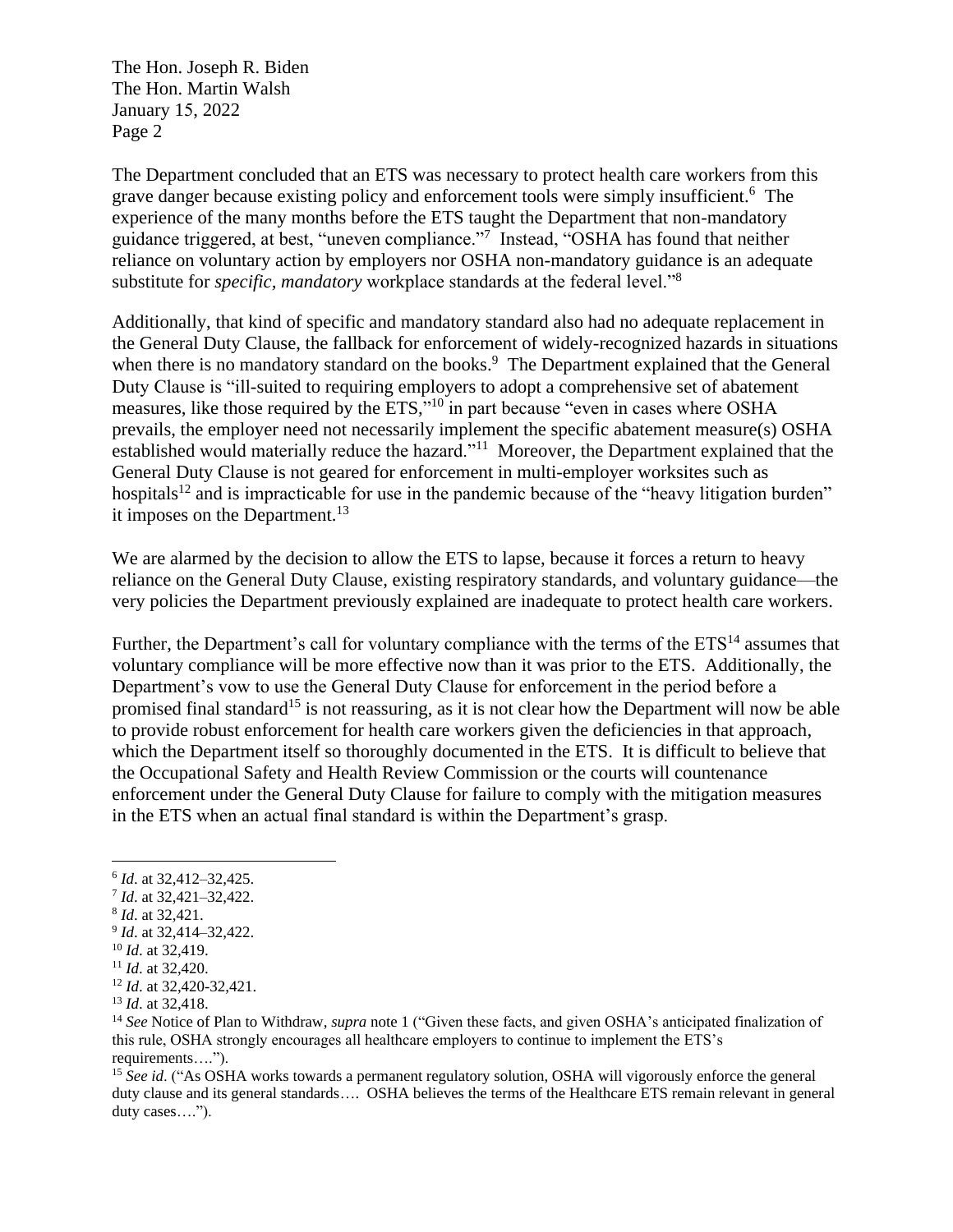The Hon. Joseph R. Biden The Hon. Martin Walsh January 15, 2022 Page 2

The Department concluded that an ETS was necessary to protect health care workers from this grave danger because existing policy and enforcement tools were simply insufficient.<sup>6</sup> The experience of the many months before the ETS taught the Department that non-mandatory guidance triggered, at best, "uneven compliance."<sup>7</sup> Instead, "OSHA has found that neither reliance on voluntary action by employers nor OSHA non-mandatory guidance is an adequate substitute for *specific, mandatory* workplace standards at the federal level."<sup>8</sup>

Additionally, that kind of specific and mandatory standard also had no adequate replacement in the General Duty Clause, the fallback for enforcement of widely-recognized hazards in situations when there is no mandatory standard on the books.<sup>9</sup> The Department explained that the General Duty Clause is "ill-suited to requiring employers to adopt a comprehensive set of abatement measures, like those required by the ETS,"<sup>10</sup> in part because "even in cases where OSHA prevails, the employer need not necessarily implement the specific abatement measure(s) OSHA established would materially reduce the hazard."<sup>11</sup> Moreover, the Department explained that the General Duty Clause is not geared for enforcement in multi-employer worksites such as hospitals<sup>12</sup> and is impracticable for use in the pandemic because of the "heavy litigation burden" it imposes on the Department.<sup>13</sup>

We are alarmed by the decision to allow the ETS to lapse, because it forces a return to heavy reliance on the General Duty Clause, existing respiratory standards, and voluntary guidance—the very policies the Department previously explained are inadequate to protect health care workers.

Further, the Department's call for voluntary compliance with the terms of the  $ETS<sup>14</sup>$  assumes that voluntary compliance will be more effective now than it was prior to the ETS. Additionally, the Department's vow to use the General Duty Clause for enforcement in the period before a promised final standard<sup>15</sup> is not reassuring, as it is not clear how the Department will now be able to provide robust enforcement for health care workers given the deficiencies in that approach, which the Department itself so thoroughly documented in the ETS. It is difficult to believe that the Occupational Safety and Health Review Commission or the courts will countenance enforcement under the General Duty Clause for failure to comply with the mitigation measures in the ETS when an actual final standard is within the Department's grasp.

- 8 *Id*. at 32,421.
- 9 *Id*. at 32,414–32,422.

<sup>11</sup> *Id*. at 32,420.

<sup>15</sup> See id. ("As OSHA works towards a permanent regulatory solution, OSHA will vigorously enforce the general duty clause and its general standards…. OSHA believes the terms of the Healthcare ETS remain relevant in general duty cases….").

<sup>6</sup> *Id*. at 32,412–32,425.

<sup>7</sup> *Id*. at 32,421–32,422.

<sup>10</sup> *Id*. at 32,419.

<sup>12</sup> *Id*. at 32,420-32,421.

<sup>13</sup> *Id*. at 32,418.

<sup>14</sup> *See* Notice of Plan to Withdraw, *supra* note 1 ("Given these facts, and given OSHA's anticipated finalization of this rule, OSHA strongly encourages all healthcare employers to continue to implement the ETS's requirements….").